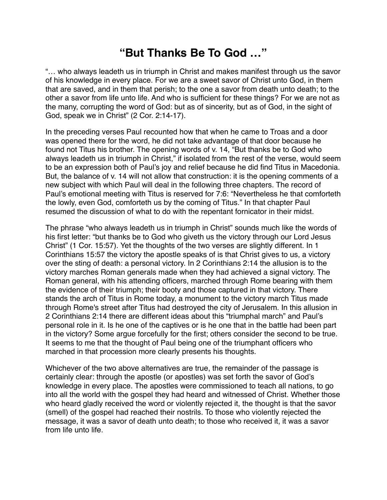## **"But Thanks Be To God …"**

"… who always leadeth us in triumph in Christ and makes manifest through us the savor of his knowledge in every place. For we are a sweet savor of Christ unto God, in them that are saved, and in them that perish; to the one a savor from death unto death; to the other a savor from life unto life. And who is sufficient for these things? For we are not as the many, corrupting the word of God: but as of sincerity, but as of God, in the sight of God, speak we in Christ" (2 Cor. 2:14-17).

In the preceding verses Paul recounted how that when he came to Troas and a door was opened there for the word, he did not take advantage of that door because he found not Titus his brother. The opening words of v. 14, "But thanks be to God who always leadeth us in triumph in Christ," if isolated from the rest of the verse, would seem to be an expression both of Paul's joy and relief because he did find Titus in Macedonia. But, the balance of v. 14 will not allow that construction: it is the opening comments of a new subject with which Paul will deal in the following three chapters. The record of Paul's emotional meeting with Titus is reserved for 7:6: "Nevertheless he that comforteth the lowly, even God, comforteth us by the coming of Titus." In that chapter Paul resumed the discussion of what to do with the repentant fornicator in their midst.

The phrase "who always leadeth us in triumph in Christ" sounds much like the words of his first letter: "but thanks be to God who giveth us the victory through our Lord Jesus Christ" (1 Cor. 15:57). Yet the thoughts of the two verses are slightly different. In 1 Corinthians 15:57 the victory the apostle speaks of is that Christ gives to us, a victory over the sting of death: a personal victory. In 2 Corinthians 2:14 the allusion is to the victory marches Roman generals made when they had achieved a signal victory. The Roman general, with his attending officers, marched through Rome bearing with them the evidence of their triumph; their booty and those captured in that victory. There stands the arch of Titus in Rome today, a monument to the victory march Titus made through Rome's street after Titus had destroyed the city of Jerusalem. In this allusion in 2 Corinthians 2:14 there are different ideas about this "triumphal march" and Paul's personal role in it. Is he one of the captives or is he one that in the battle had been part in the victory? Some argue forcefully for the first; others consider the second to be true. It seems to me that the thought of Paul being one of the triumphant officers who marched in that procession more clearly presents his thoughts.

Whichever of the two above alternatives are true, the remainder of the passage is certainly clear: through the apostle (or apostles) was set forth the savor of God's knowledge in every place. The apostles were commissioned to teach all nations, to go into all the world with the gospel they had heard and witnessed of Christ. Whether those who heard gladly received the word or violently rejected it, the thought is that the savor (smell) of the gospel had reached their nostrils. To those who violently rejected the message, it was a savor of death unto death; to those who received it, it was a savor from life unto life.